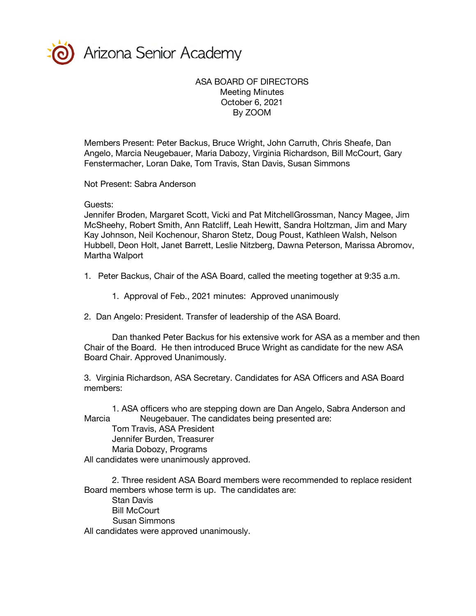

Arizona Senior Academy

## ASA BOARD OF DIRECTORS Meeting Minutes October 6, 2021 By ZOOM

Members Present: Peter Backus, Bruce Wright, John Carruth, Chris Sheafe, Dan Angelo, Marcia Neugebauer, Maria Dabozy, Virginia Richardson, Bill McCourt, Gary Fenstermacher, Loran Dake, Tom Travis, Stan Davis, Susan Simmons

Not Present: Sabra Anderson

Guests:

Jennifer Broden, Margaret Scott, Vicki and Pat MitchellGrossman, Nancy Magee, Jim McSheehy, Robert Smith, Ann Ratcliff, Leah Hewitt, Sandra Holtzman, Jim and Mary Kay Johnson, Neil Kochenour, Sharon Stetz, Doug Poust, Kathleen Walsh, Nelson Hubbell, Deon Holt, Janet Barrett, Leslie Nitzberg, Dawna Peterson, Marissa Abromov, Martha Walport

1. Peter Backus, Chair of the ASA Board, called the meeting together at 9:35 a.m.

1. Approval of Feb., 2021 minutes: Approved unanimously

2. Dan Angelo: President. Transfer of leadership of the ASA Board.

Dan thanked Peter Backus for his extensive work for ASA as a member and then Chair of the Board. He then introduced Bruce Wright as candidate for the new ASA Board Chair. Approved Unanimously.

3. Virginia Richardson, ASA Secretary. Candidates for ASA Officers and ASA Board members:

1. ASA officers who are stepping down are Dan Angelo, Sabra Anderson and Marcia Meugebauer. The candidates being presented are:

Tom Travis, ASA President Jennifer Burden, Treasurer Maria Dobozy, Programs

All candidates were unanimously approved.

2. Three resident ASA Board members were recommended to replace resident Board members whose term is up. The candidates are:

Stan Davis

Bill McCourt

Susan Simmons

All candidates were approved unanimously.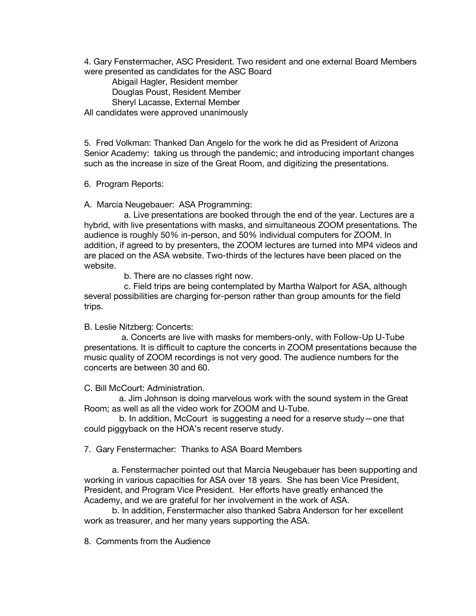4. Gary Fenstermacher, ASC President. Two resident and one external Board Members were presented as candidates for the ASC Board

Abigail Hagler, Resident member Douglas Poust, Resident Member Sheryl Lacasse, External Member All candidates were approved unanimously

5. Fred Volkman: Thanked Dan Angelo for the work he did as President of Arizona Senior Academy: taking us through the pandemic; and introducing important changes such as the increase in size of the Great Room, and digitizing the presentations.

6. Program Reports:

A. Marcia Neugebauer: ASA Programming:

 a. Live presentations are booked through the end of the year. Lectures are a hybrid, with live presentations with masks, and simultaneous ZOOM presentations. The audience is roughly 50% in-person, and 50% individual computers for ZOOM. In addition, if agreed to by presenters, the ZOOM lectures are turned into MP4 videos and are placed on the ASA website. Two-thirds of the lectures have been placed on the website.

b. There are no classes right now.

 c. Field trips are being contemplated by Martha Walport for ASA, although several possibilities are charging for-person rather than group amounts for the field trips.

B. Leslie Nitzberg: Concerts:

 a. Concerts are live with masks for members-only, with Follow-Up U-Tube presentations. It is difficult to capture the concerts in ZOOM presentations because the music quality of ZOOM recordings is not very good. The audience numbers for the concerts are between 30 and 60.

C. Bill McCourt: Administration.

 a. Jim Johnson is doing marvelous work with the sound system in the Great Room; as well as all the video work for ZOOM and U-Tube.

 b. In addition, McCourt is suggesting a need for a reserve study—one that could piggyback on the HOA's recent reserve study.

7. Gary Fenstermacher: Thanks to ASA Board Members

a. Fenstermacher pointed out that Marcia Neugebauer has been supporting and working in various capacities for ASA over 18 years. She has been Vice President, President, and Program Vice President. Her efforts have greatly enhanced the Academy, and we are grateful for her involvement in the work of ASA.

b. In addition, Fenstermacher also thanked Sabra Anderson for her excellent work as treasurer, and her many years supporting the ASA.

8. Comments from the Audience